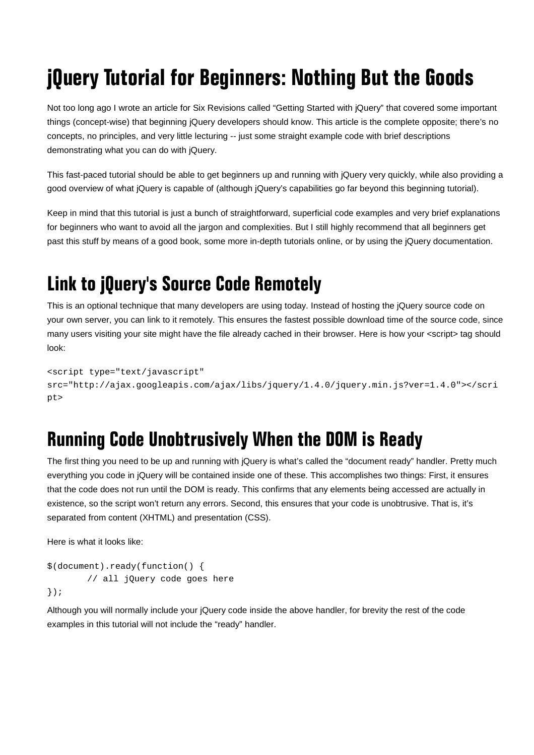# jQuery Tutorial for Beginners: Nothing But the Goods

Not too long ago I wrote an article for Six Revisions called "Getting Started with jQuery" that covered some important things (concept-wise) that beginning jQuery developers should know. This article is the complete opposite; there's no concepts, no principles, and very little lecturing -- just some straight example code with brief descriptions demonstrating what you can do with jQuery.

This fast-paced tutorial should be able to get beginners up and running with jQuery very quickly, while also providing a good overview of what jQuery is capable of (although jQuery's capabilities go far beyond this beginning tutorial).

Keep in mind that this tutorial is just a bunch of straightforward, superficial code examples and very brief explanations for beginners who want to avoid all the jargon and complexities. But I still highly recommend that all beginners get past this stuff by means of a good book, some more in-depth tutorials online, or by using the jQuery documentation.

# Link to jQuery's Source Code Remotely

This is an optional technique that many developers are using today. Instead of hosting the jQuery source code on your own server, you can link to it remotely. This ensures the fastest possible download time of the source code, since many users visiting your site might have the file already cached in their browser. Here is how your <script> tag should look:

```
<script type="text/javascript" 
src="http://ajax.googleapis.com/ajax/libs/jquery/1.4.0/jquery.min.js?ver=1.4.0"></scri
pt>
```
## Running Code Unobtrusively When the DOM is Ready

The first thing you need to be up and running with jQuery is what's called the "document ready" handler. Pretty much everything you code in jQuery will be contained inside one of these. This accomplishes two things: First, it ensures that the code does not run until the DOM is ready. This confirms that any elements being accessed are actually in existence, so the script won't return any errors. Second, this ensures that your code is unobtrusive. That is, it's separated from content (XHTML) and presentation (CSS).

Here is what it looks like:

```
$(document).ready(function() { 
         // all jQuery code goes here 
});
```
Although you will normally include your jQuery code inside the above handler, for brevity the rest of the code examples in this tutorial will not include the "ready" handler.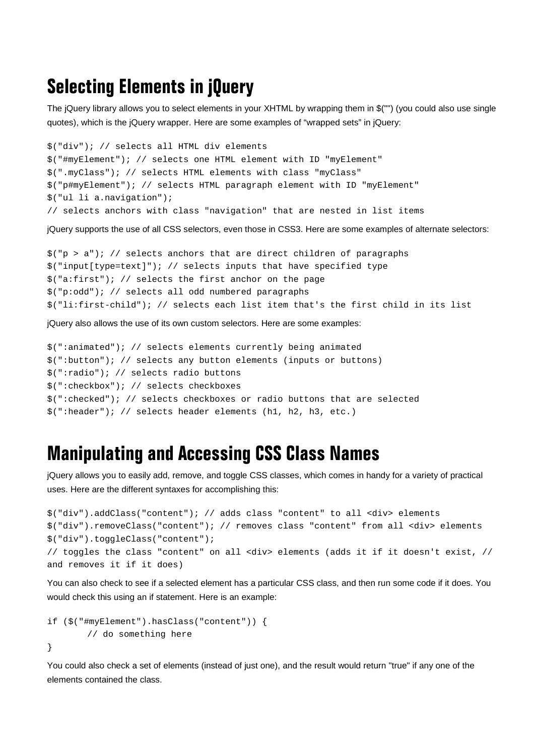### Selecting Elements in jQuery

The jQuery library allows you to select elements in your XHTML by wrapping them in \$("") (you could also use single quotes), which is the jQuery wrapper. Here are some examples of "wrapped sets" in jQuery:

```
$("div"); // selects all HTML div elements 
$("#myElement"); // selects one HTML element with ID "myElement" 
$(".myClass"); // selects HTML elements with class "myClass" 
$("p#myElement"); // selects HTML paragraph element with ID "myElement" 
$("ul li a.navigation"); 
// selects anchors with class "navigation" that are nested in list items
```
jQuery supports the use of all CSS selectors, even those in CSS3. Here are some examples of alternate selectors:

```
\frac{1}{2}("p > a"); // selects anchors that are direct children of paragraphs
$("input[type=text]"); // selects inputs that have specified type 
$("a:first"); // selects the first anchor on the page 
$("p:odd"); // selects all odd numbered paragraphs 
$("li:first-child"); // selects each list item that's the first child in its list
```
jQuery also allows the use of its own custom selectors. Here are some examples:

```
$(":animated"); // selects elements currently being animated 
$(":button"); // selects any button elements (inputs or buttons) 
$(":radio"); // selects radio buttons 
$(":checkbox"); // selects checkboxes 
$(":checked"); // selects checkboxes or radio buttons that are selected 
$(":header"); // selects header elements (h1, h2, h3, etc.)
```
#### Manipulating and Accessing CSS Class Names

jQuery allows you to easily add, remove, and toggle CSS classes, which comes in handy for a variety of practical uses. Here are the different syntaxes for accomplishing this:

```
$("div").addClass("content"); // adds class "content" to all <div> elements 
$("div").removeClass("content"); // removes class "content" from all <div> elements 
$("div").toggleClass("content"); 
// toggles the class "content" on all <div> elements (adds it if it doesn't exist, // 
and removes it if it does)
```
You can also check to see if a selected element has a particular CSS class, and then run some code if it does. You would check this using an if statement. Here is an example:

```
if ($("#myElement").hasClass("content")) { 
         // do something here 
}
```
You could also check a set of elements (instead of just one), and the result would return "true" if any one of the elements contained the class.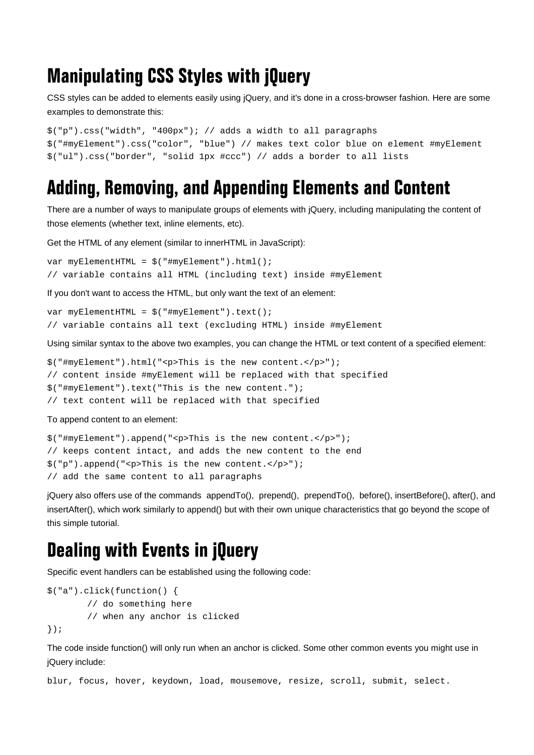## Manipulating CSS Styles with jQuery

CSS styles can be added to elements easily using jQuery, and it's done in a cross-browser fashion. Here are some examples to demonstrate this:

```
$("p").css("width", "400px"); // adds a width to all paragraphs 
$("#myElement").css("color", "blue") // makes text color blue on element #myElement 
$("ul").css("border", "solid 1px #ccc") // adds a border to all lists
```
#### Adding, Removing, and Appending Elements and Content

There are a number of ways to manipulate groups of elements with jQuery, including manipulating the content of those elements (whether text, inline elements, etc).

Get the HTML of any element (similar to innerHTML in JavaScript):

```
var myElementHTML = $("#myElement").html(); 
// variable contains all HTML (including text) inside #myElement
```
If you don't want to access the HTML, but only want the text of an element:

```
var myElementHTML = $("#myElement").text(); 
// variable contains all text (excluding HTML) inside #myElement
```
Using similar syntax to the above two examples, you can change the HTML or text content of a specified element:

```
$("#myElement").html("<p>This is the new content.</p>");
```

```
// content inside #myElement will be replaced with that specified
```

```
$("#myElement").text("This is the new content.");
```
// text content will be replaced with that specified

To append content to an element:

```
$("#myElement").append("<p>This is the new content.</p>"); 
// keeps content intact, and adds the new content to the end 
$("p").append("<p>This is the new content.</p>"); 
// add the same content to all paragraphs
```
jQuery also offers use of the commands appendTo(), prepend(), prependTo(), before(), insertBefore(), after(), and insertAfter(), which work similarly to append() but with their own unique characteristics that go beyond the scope of this simple tutorial.

#### Dealing with Events in jQuery

Specific event handlers can be established using the following code:

```
$("a").click(function() { 
         // do something here 
         // when any anchor is clicked 
});
```
The code inside function() will only run when an anchor is clicked. Some other common events you might use in jQuery include:

blur, focus, hover, keydown, load, mousemove, resize, scroll, submit, select.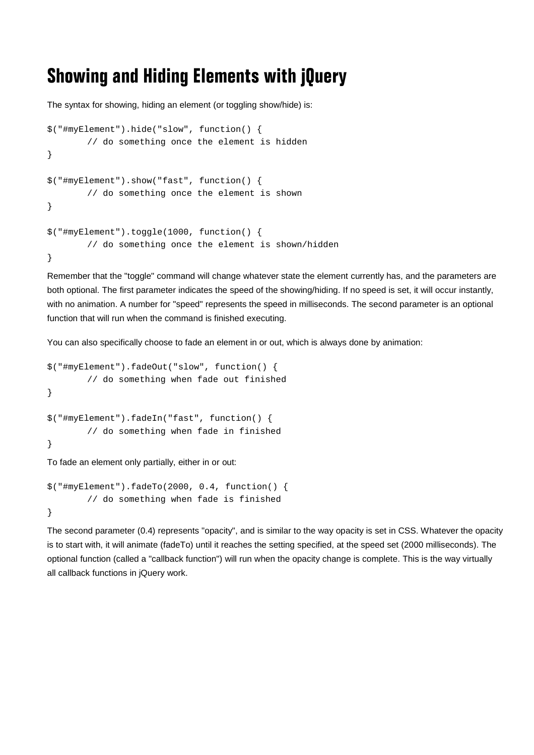### Showing and Hiding Elements with jQuery

The syntax for showing, hiding an element (or toggling show/hide) is:

```
$("#myElement").hide("slow", function() { 
         // do something once the element is hidden 
} 
$("#myElement").show("fast", function() { 
         // do something once the element is shown 
} 
$("#myElement").toggle(1000, function() { 
         // do something once the element is shown/hidden 
}
```
Remember that the "toggle" command will change whatever state the element currently has, and the parameters are both optional. The first parameter indicates the speed of the showing/hiding. If no speed is set, it will occur instantly, with no animation. A number for "speed" represents the speed in milliseconds. The second parameter is an optional function that will run when the command is finished executing.

You can also specifically choose to fade an element in or out, which is always done by animation:

```
$("#myElement").fadeOut("slow", function() { 
         // do something when fade out finished 
} 
$("#myElement").fadeIn("fast", function() { 
         // do something when fade in finished 
}
```
To fade an element only partially, either in or out:

```
$("#myElement").fadeTo(2000, 0.4, function() { 
         // do something when fade is finished 
}
```
The second parameter (0.4) represents "opacity", and is similar to the way opacity is set in CSS. Whatever the opacity is to start with, it will animate (fadeTo) until it reaches the setting specified, at the speed set (2000 milliseconds). The optional function (called a "callback function") will run when the opacity change is complete. This is the way virtually all callback functions in jQuery work.